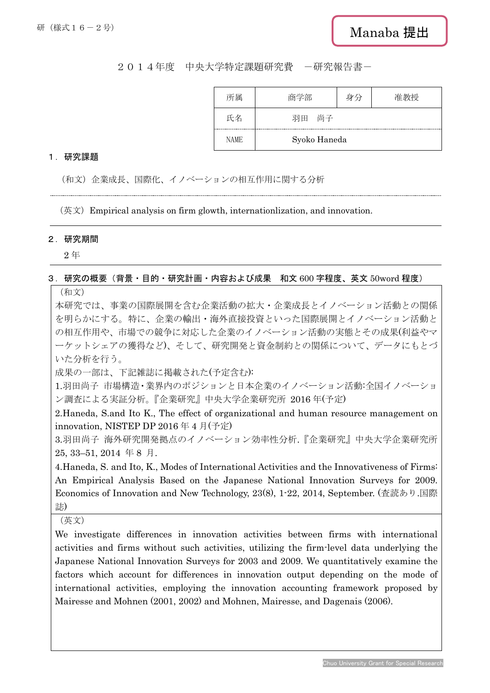## 2014年度 中央大学特定課題研究費 -研究報告書-

| 所属          | 商学部          | 身分 | 准教授 |
|-------------|--------------|----|-----|
| 氏名          | 尚子<br>羽田     |    |     |
| <b>NAME</b> | Syoko Haneda |    |     |

## 1.研究課題

(和文)企業成長、国際化、イノベーションの相互作用に関する分析

(英文)Empirical analysis on firm glowth, internationlization, and innovation.

## 2.研究期間

2 年

## 3.研究の概要(背景・目的・研究計画・内容および成果 和文 600 字程度、英文 50word 程度)

(和文)

本研究では、事業の国際展開を含む企業活動の拡大・企業成長とイノベーション活動との関係 を明らかにする。特に、企業の輸出・海外直接投資といった国際展開とイノベーション活動と の相互作用や、市場での競争に対応した企業のイノベーション活動の実態とその成果(利益やマ ーケットシェアの獲得など)、そして、研究開発と資金制約との関係について、データにもとづ いた分析を行う。

成果の一部は、下記雑誌に掲載された(予定含む):

1.羽田尚子 市場構造・業界内のポジションと日本企業のイノベーション活動:全国イノベーショ ン調査による実証分析。『企業研究』中央大学企業研究所 2016 年(予定)

2.Haneda, S.and Ito K., The effect of organizational and human resource management on innovation, NISTEP DP 2016 年 4 月(予定)

3.羽田尚子 海外研究開発拠点のイノベーション効率性分析.『企業研究』中央大学企業研究所 25, 33–51, 2014 年 8 月.

4.Haneda, S. and Ito, K., Modes of International Activities and the Innovativeness of Firms: An Empirical Analysis Based on the Japanese National Innovation Surveys for 2009. Economics of Innovation and New Technology, 23(8), 1-22, 2014, September. (査読あり.国際 誌)

(英文)

We investigate differences in innovation activities between firms with international activities and firms without such activities, utilizing the firm-level data underlying the Japanese National Innovation Surveys for 2003 and 2009. We quantitatively examine the factors which account for differences in innovation output depending on the mode of international activities, employing the innovation accounting framework proposed by Mairesse and Mohnen (2001, 2002) and Mohnen, Mairesse, and Dagenais (2006).